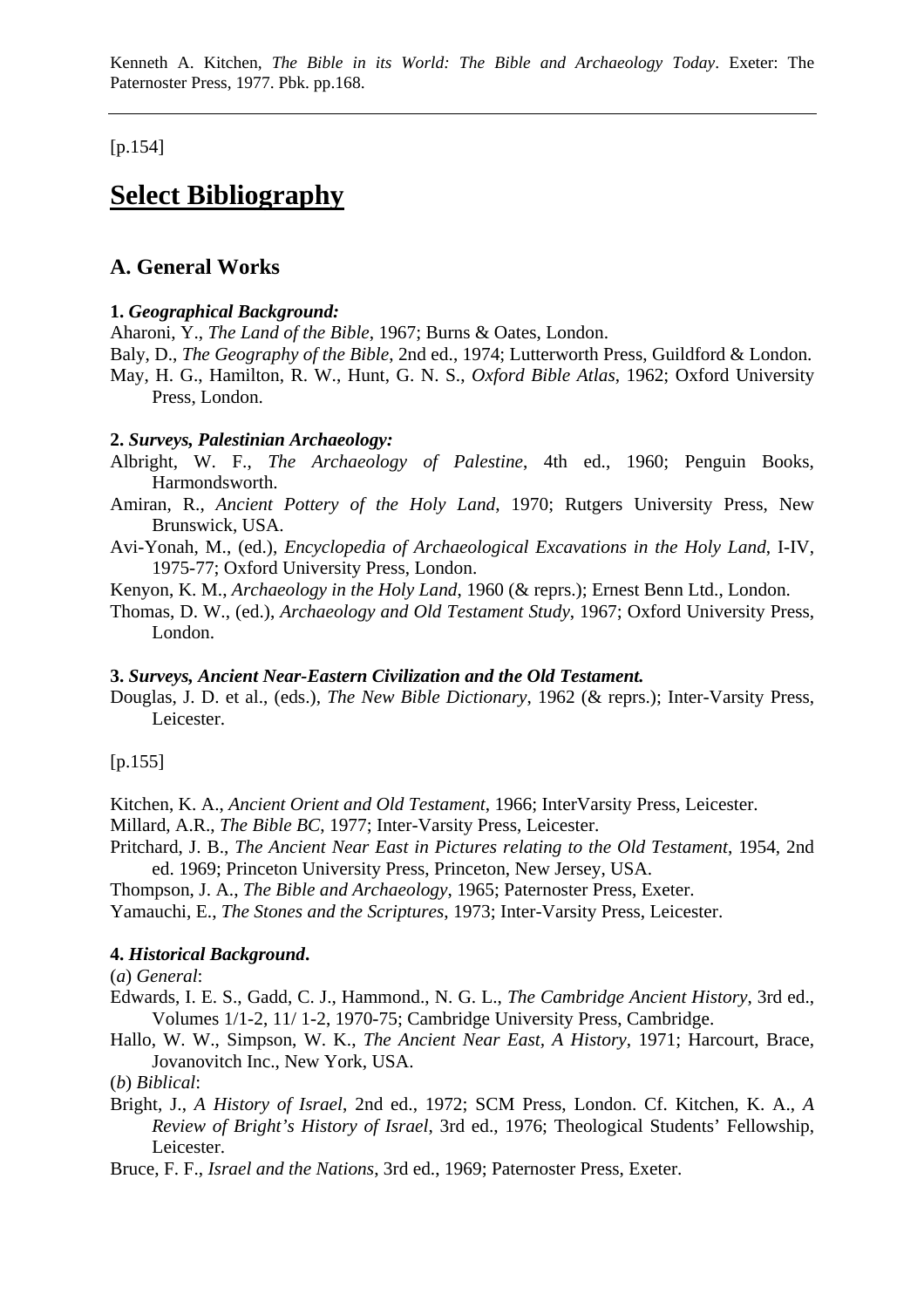[p.154]

# **Select Bibliography**

# **A. General Works**

### **1.** *Geographical Background:*

Aharoni, Y., *The Land of the Bible*, 1967; Burns & Oates, London.

- Baly, D., *The Geography of the Bible*, 2nd ed., 1974; Lutterworth Press, Guildford & London.
- May, H. G., Hamilton, R. W., Hunt, G. N. S., *Oxford Bible Atlas*, 1962; Oxford University Press, London.

### **2.** *Surveys, Palestinian Archaeology:*

- Albright, W. F., *The Archaeology of Palestine*, 4th ed., 1960; Penguin Books, Harmondsworth.
- Amiran, R., *Ancient Pottery of the Holy Land*, 1970; Rutgers University Press, New Brunswick, USA.
- Avi-Yonah, M., (ed.), *Encyclopedia of Archaeological Excavations in the Holy Land*, I-IV, 1975-77; Oxford University Press, London.
- Kenyon, K. M., *Archaeology in the Holy Land*, 1960 (& reprs.); Ernest Benn Ltd., London.
- Thomas, D. W., (ed.), *Archaeology and Old Testament Study*, 1967; Oxford University Press, London.

#### **3.** *Surveys, Ancient Near-Eastern Civilization and the Old Testament.*

Douglas, J. D. et al., (eds.), *The New Bible Dictionary*, 1962 (& reprs.); Inter-Varsity Press, Leicester.

 $[p.155]$ 

- Kitchen, K. A., *Ancient Orient and Old Testament*, 1966; InterVarsity Press, Leicester.
- Millard, A.R., *The Bible BC*, 1977; Inter-Varsity Press, Leicester.
- Pritchard, J. B., *The Ancient Near East in Pictures relating to the Old Testament*, 1954, 2nd ed. 1969; Princeton University Press, Princeton, New Jersey, USA.

Thompson, J. A., *The Bible and Archaeology*, 1965; Paternoster Press, Exeter.

Yamauchi, E., *The Stones and the Scriptures*, 1973; Inter-Varsity Press, Leicester.

## **4.** *Historical Background***.**

(*a*) *General*:

- Edwards, I. E. S., Gadd, C. J., Hammond., N. G. L., *The Cambridge Ancient History*, 3rd ed., Volumes 1/1-2, 11/ 1-2, 1970-75; Cambridge University Press, Cambridge.
- Hallo, W. W., Simpson, W. K., *The Ancient Near East, A History*, 1971; Harcourt, Brace, Jovanovitch Inc., New York, USA.

(*b*) *Biblical*:

Bright, J., *A History of Israel*, 2nd ed., 1972; SCM Press, London. Cf. Kitchen, K. A., *A Review of Bright's History of Israel*, 3rd ed., 1976; Theological Students' Fellowship, Leicester.

Bruce, F. F., *Israel and the Nations*, 3rd ed., 1969; Paternoster Press, Exeter.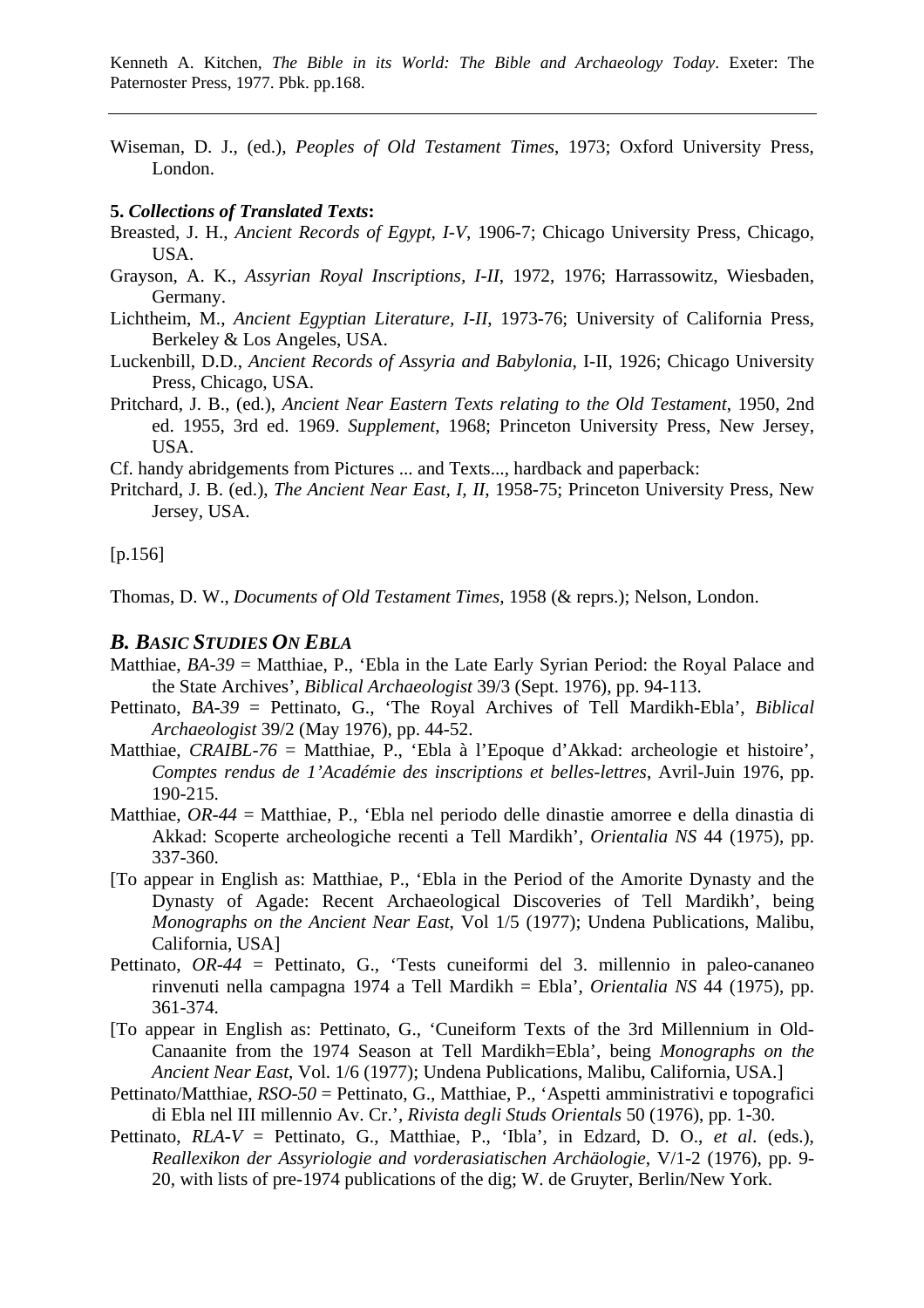Wiseman, D. J., (ed.), *Peoples of Old Testament Times*, 1973; Oxford University Press, London.

#### **5.** *Collections of Translated Texts***:**

- Breasted, J. H., *Ancient Records of Egypt, I-V*, 1906-7; Chicago University Press, Chicago, USA.
- Grayson, A. K., *Assyrian Royal Inscriptions, I-II*, 1972, 1976; Harrassowitz, Wiesbaden, Germany.
- Lichtheim, M., *Ancient Egyptian Literature, I-II*, 1973-76; University of California Press, Berkeley & Los Angeles, USA.
- Luckenbill, D.D., *Ancient Records of Assyria and Babylonia*, I-II, 1926; Chicago University Press, Chicago, USA.
- Pritchard, J. B., (ed.), *Ancient Near Eastern Texts relating to the Old Testament*, 1950, 2nd ed. 1955, 3rd ed. 1969. *Supplement*, 1968; Princeton University Press, New Jersey, USA.
- Cf. handy abridgements from Pictures ... and Texts..., hardback and paperback:
- Pritchard, J. B. (ed.), *The Ancient Near East, I, II*, 1958-75; Princeton University Press, New Jersey, USA.

#### $[p.156]$

Thomas, D. W., *Documents of Old Testament Times*, 1958 (& reprs.); Nelson, London.

## *B. BASIC STUDIES ON EBLA*

- Matthiae, *BA-39* = Matthiae, P., 'Ebla in the Late Early Syrian Period: the Royal Palace and the State Archives', *Biblical Archaeologist* 39/3 (Sept. 1976), pp. 94-113.
- Pettinato, *BA-39* = Pettinato, G., 'The Royal Archives of Tell Mardikh-Ebla', *Biblical Archaeologist* 39/2 (May 1976), pp. 44-52.
- Matthiae, *CRAIBL-76* = Matthiae, P., 'Ebla à l'Epoque d'Akkad: archeologie et histoire', *Comptes rendus de 1'Académie des inscriptions et belles-lettres*, Avril-Juin 1976, pp. 190-215.
- Matthiae, *OR-44* = Matthiae, P., 'Ebla nel periodo delle dinastie amorree e della dinastia di Akkad: Scoperte archeologiche recenti a Tell Mardikh', *Orientalia NS* 44 (1975), pp. 337-360.
- [To appear in English as: Matthiae, P., 'Ebla in the Period of the Amorite Dynasty and the Dynasty of Agade: Recent Archaeological Discoveries of Tell Mardikh', being *Monographs on the Ancient Near East*, Vol 1/5 (1977); Undena Publications, Malibu, California, USA]
- Pettinato, *OR-44* = Pettinato, G., 'Tests cuneiformi del 3. millennio in paleo-cananeo rinvenuti nella campagna 1974 a Tell Mardikh = Ebla', *Orientalia NS* 44 (1975), pp. 361-374.
- [To appear in English as: Pettinato, G., 'Cuneiform Texts of the 3rd Millennium in Old-Canaanite from the 1974 Season at Tell Mardikh=Ebla', being *Monographs on the Ancient Near East*, Vol. 1/6 (1977); Undena Publications, Malibu, California, USA.]
- Pettinato/Matthiae, *RSO-50* = Pettinato, G., Matthiae, P., 'Aspetti amministrativi e topografici di Ebla nel III millennio Av. Cr.', *Rivista degli Studs Orientals* 50 (1976), pp. 1-30.
- Pettinato, *RLA-V* = Pettinato, G., Matthiae, P., 'Ibla', in Edzard, D. O., *et al*. (eds.), *Reallexikon der Assyriologie and vorderasiatischen Archäologie*, V/1-2 (1976), pp. 9- 20, with lists of pre-1974 publications of the dig; W. de Gruyter, Berlin/New York.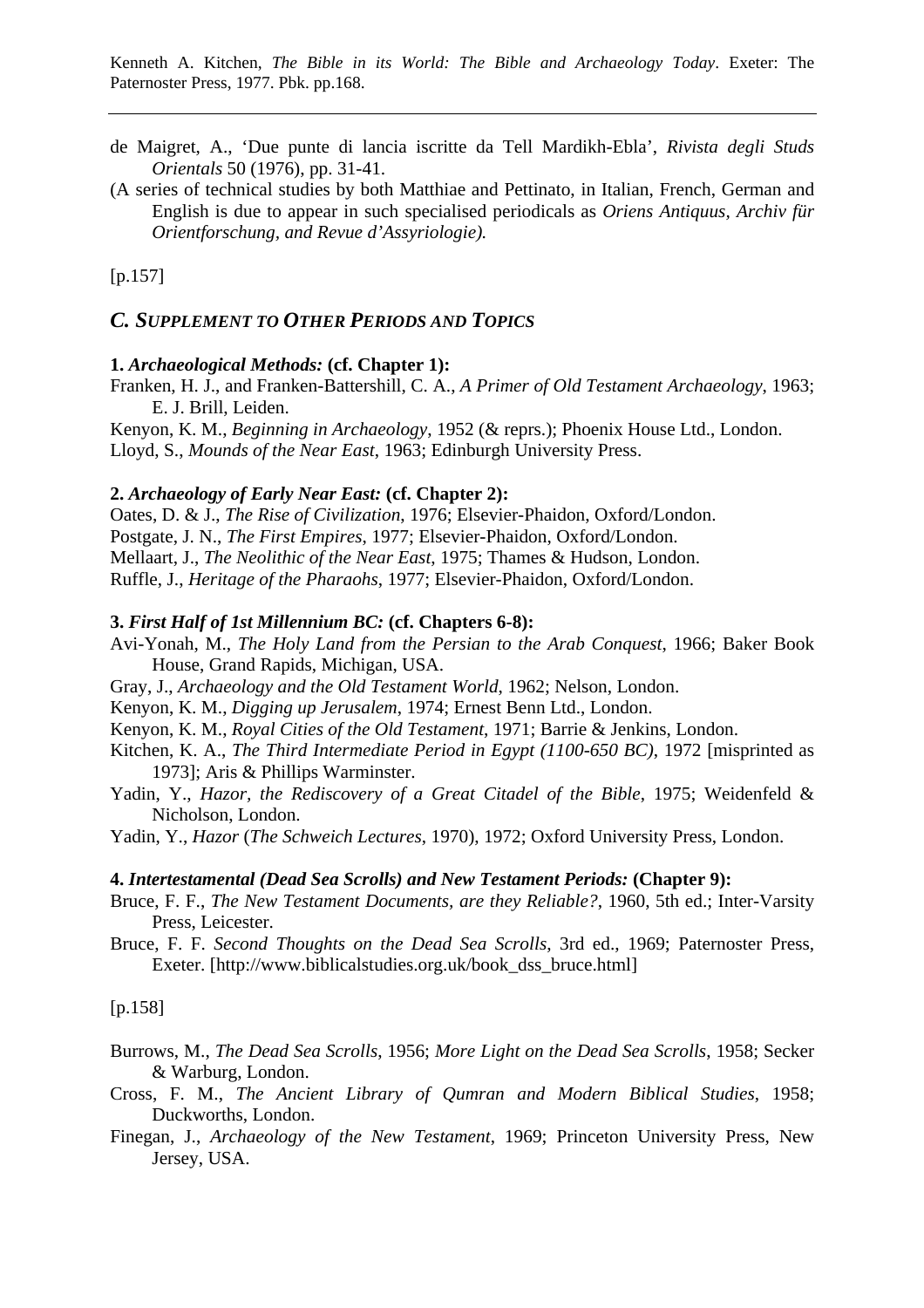- de Maigret, A., 'Due punte di lancia iscritte da Tell Mardikh-Ebla', *Rivista degli Studs Orientals* 50 (1976), pp. 31-41.
- (A series of technical studies by both Matthiae and Pettinato, in Italian, French, German and English is due to appear in such specialised periodicals as *Oriens Antiquus, Archiv für Orientforschung, and Revue d'Assyriologie).*

[p.157]

# *C. SUPPLEMENT TO OTHER PERIODS AND TOPICS*

#### **1.** *Archaeological Methods:* **(cf. Chapter 1):**

Franken, H. J., and Franken-Battershill, C. A., *A Primer of Old Testament Archaeology*, 1963; E. J. Brill, Leiden.

Kenyon, K. M., *Beginning in Archaeology*, 1952 (& reprs.); Phoenix House Ltd., London. Lloyd, S., *Mounds of the Near East*, 1963; Edinburgh University Press.

### **2.** *Archaeology of Early Near East:* **(cf. Chapter 2):**

Oates, D. & J., *The Rise of Civilization*, 1976; Elsevier-Phaidon, Oxford/London. Postgate, J. N., *The First Empires*, 1977; Elsevier-Phaidon, Oxford/London. Mellaart, J., *The Neolithic of the Near East*, 1975; Thames & Hudson, London. Ruffle, J., *Heritage of the Pharaohs*, 1977; Elsevier-Phaidon, Oxford/London.

#### **3.** *First Half of 1st Millennium BC:* **(cf. Chapters 6-8):**

- Avi-Yonah, M., *The Holy Land from the Persian to the Arab Conquest*, 1966; Baker Book House, Grand Rapids, Michigan, USA.
- Gray, J., *Archaeology and the Old Testament World*, 1962; Nelson, London.
- Kenyon, K. M., *Digging up Jerusalem*, 1974; Ernest Benn Ltd., London.
- Kenyon, K. M., *Royal Cities of the Old Testament*, 1971; Barrie & Jenkins, London.
- Kitchen, K. A., *The Third Intermediate Period in Egypt (1100-650 BC)*, 1972 [misprinted as 1973]; Aris & Phillips Warminster.
- Yadin, Y., *Hazor, the Rediscovery of a Great Citadel of the Bible*, 1975; Weidenfeld & Nicholson, London.

Yadin, Y., *Hazor* (*The Schweich Lectures*, 1970), 1972; Oxford University Press, London.

#### **4.** *Intertestamental (Dead Sea Scrolls) and New Testament Periods:* **(Chapter 9):**

- Bruce, F. F., *The New Testament Documents, are they Reliable?*, 1960, 5th ed.; Inter-Varsity Press, Leicester.
- Bruce, F. F. *Second Thoughts on the Dead Sea Scrolls*, 3rd ed., 1969; Paternoster Press, Exeter. [http://www.biblicalstudies.org.uk/book\_dss\_bruce.html]

[p.158]

- Burrows, M., *The Dead Sea Scrolls*, 1956; *More Light on the Dead Sea Scrolls*, 1958; Secker & Warburg, London.
- Cross, F. M., *The Ancient Library of Qumran and Modern Biblical Studies*, 1958; Duckworths, London.
- Finegan, J., *Archaeology of the New Testament*, 1969; Princeton University Press, New Jersey, USA.